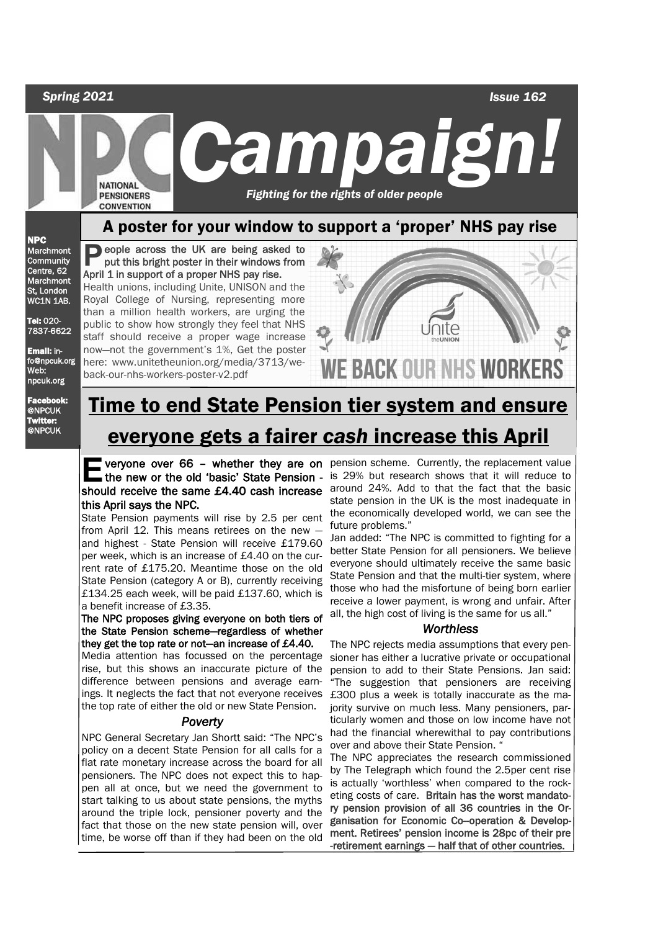## *Spring 2021 Issue 162 C ampaign!*  **NATIONAL**  *Fighting for the rights of older people*  **PENSIONERS CONVENTION** A poster for your window to support a 'proper' NHS pay rise

NPC Marchmont **Community** Centre, 62 **Marchmont** St, London WC1N 1AB.

Tel: 020- 7837-6622

Email: info@npcuk.org Web: npcuk.org

Facebook: @NPCUK Twitter: @NPCUK

**P** eople across the UK are being asked to put this bright poster in their windows from put this bright poster in their windows from April 1 in support of a proper NHS pay rise.

Health unions, including Unite, UNISON and the Royal College of Nursing, representing more than a million health workers, are urging the public to show how strongly they feel that NHS staff should receive a proper wage increase now—not the government's 1%, Get the poster here: www.unitetheunion.org/media/3713/weback-our-nhs-workers-poster-v2.pdf



# Time to end State Pension tier system and ensure everyone gets a fairer *cash* increase this April

# should receive the same £4.40 cash increase this April says the NPC.

State Pension payments will rise by 2.5 per cent from April 12. This means retirees on the new and highest - State Pension will receive £179.60 per week, which is an increase of £4.40 on the current rate of £175.20. Meantime those on the old State Pension (category A or B), currently receiving £134.25 each week, will be paid £137.60, which is a benefit increase of £3.35.

#### The NPC proposes giving everyone on both tiers of the State Pension scheme—regardless of whether they get the top rate or not—an increase of £4.40.

Media attention has focussed on the percentage rise, but this shows an inaccurate picture of the difference between pensions and average earnings. It neglects the fact that not everyone receives the top rate of either the old or new State Pension.

## *Poverty*

NPC General Secretary Jan Shortt said: "The NPC's policy on a decent State Pension for all calls for a flat rate monetary increase across the board for all pensioners. The NPC does not expect this to happen all at once, but we need the government to start talking to us about state pensions, the myths around the triple lock, pensioner poverty and the fact that those on the new state pension will, over time, be worse off than if they had been on the old

**E** veryone over 66 – whether they are on pension scheme. Currently, the replacement value<br>the new or the old 'basic' State Pension - is 29% but research shows that it will reduce to<br>should research the same 54.40 seek inc veryone over 66 - whether they are on pension scheme. Currently, the replacement value around 24%. Add to that the fact that the basic state pension in the UK is the most inadequate in the economically developed world, we can see the future problems."

Jan added: "The NPC is committed to fighting for a better State Pension for all pensioners. We believe everyone should ultimately receive the same basic State Pension and that the multi-tier system, where those who had the misfortune of being born earlier receive a lower payment, is wrong and unfair. After all, the high cost of living is the same for us all."

## *Worthless*

The NPC rejects media assumptions that every pensioner has either a lucrative private or occupational pension to add to their State Pensions. Jan said: "The suggestion that pensioners are receiving £300 plus a week is totally inaccurate as the majority survive on much less. Many pensioners, particularly women and those on low income have not had the financial wherewithal to pay contributions over and above their State Pension. "

The NPC appreciates the research commissioned by The Telegraph which found the 2.5per cent rise is actually 'worthless' when compared to the rocketing costs of care. Britain has the worst mandatory pension provision of all 36 countries in the Organisation for Economic Co--operation & Development. Retirees' pension income is 28pc of their pre -retirement earnings — half that of other countries.